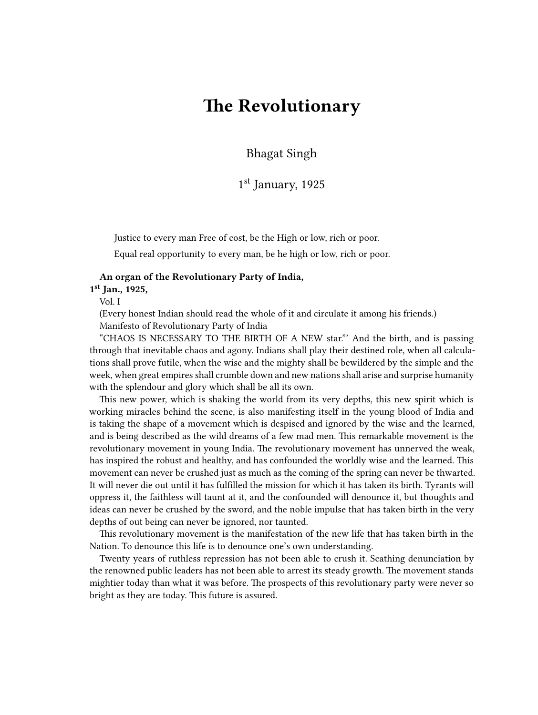## **The Revolutionary**

Bhagat Singh

## 1 st January, 1925

Justice to every man Free of cost, be the High or low, rich or poor.

Equal real opportunity to every man, be he high or low, rich or poor.

## **An organ of the Revolutionary Party of India,**

**1 st Jan., 1925,**

Vol. I

(Every honest Indian should read the whole of it and circulate it among his friends.) Manifesto of Revolutionary Party of India

"CHAOS IS NECESSARY TO THE BIRTH OF A NEW star."' And the birth, and is passing through that inevitable chaos and agony. Indians shall play their destined role, when all calculations shall prove futile, when the wise and the mighty shall be bewildered by the simple and the week, when great empires shall crumble down and new nations shall arise and surprise humanity with the splendour and glory which shall be all its own.

This new power, which is shaking the world from its very depths, this new spirit which is working miracles behind the scene, is also manifesting itself in the young blood of India and is taking the shape of a movement which is despised and ignored by the wise and the learned, and is being described as the wild dreams of a few mad men. This remarkable movement is the revolutionary movement in young India. The revolutionary movement has unnerved the weak, has inspired the robust and healthy, and has confounded the worldly wise and the learned. This movement can never be crushed just as much as the coming of the spring can never be thwarted. It will never die out until it has fulfilled the mission for which it has taken its birth. Tyrants will oppress it, the faithless will taunt at it, and the confounded will denounce it, but thoughts and ideas can never be crushed by the sword, and the noble impulse that has taken birth in the very depths of out being can never be ignored, nor taunted.

This revolutionary movement is the manifestation of the new life that has taken birth in the Nation. To denounce this life is to denounce one's own understanding.

Twenty years of ruthless repression has not been able to crush it. Scathing denunciation by the renowned public leaders has not been able to arrest its steady growth. The movement stands mightier today than what it was before. The prospects of this revolutionary party were never so bright as they are today. This future is assured.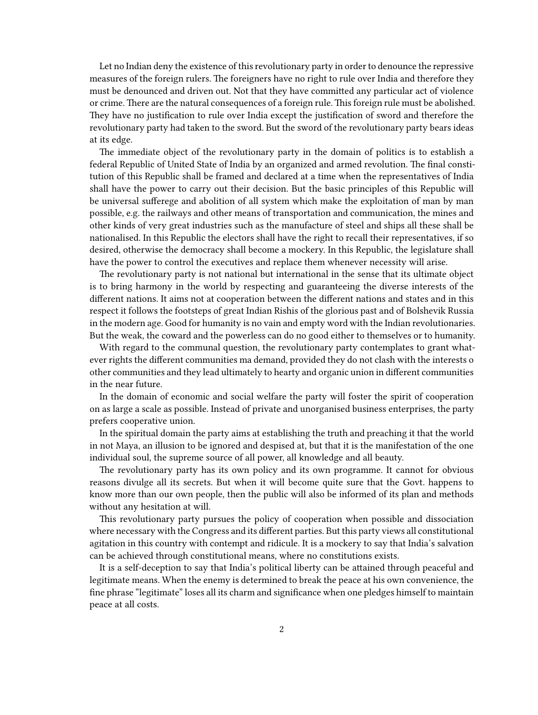Let no Indian deny the existence of this revolutionary party in order to denounce the repressive measures of the foreign rulers. The foreigners have no right to rule over India and therefore they must be denounced and driven out. Not that they have committed any particular act of violence or crime. There are the natural consequences of a foreign rule. This foreign rule must be abolished. They have no justification to rule over India except the justification of sword and therefore the revolutionary party had taken to the sword. But the sword of the revolutionary party bears ideas at its edge.

The immediate object of the revolutionary party in the domain of politics is to establish a federal Republic of United State of India by an organized and armed revolution. The final constitution of this Republic shall be framed and declared at a time when the representatives of India shall have the power to carry out their decision. But the basic principles of this Republic will be universal sufferege and abolition of all system which make the exploitation of man by man possible, e.g. the railways and other means of transportation and communication, the mines and other kinds of very great industries such as the manufacture of steel and ships all these shall be nationalised. In this Republic the electors shall have the right to recall their representatives, if so desired, otherwise the democracy shall become a mockery. In this Republic, the legislature shall have the power to control the executives and replace them whenever necessity will arise.

The revolutionary party is not national but international in the sense that its ultimate object is to bring harmony in the world by respecting and guaranteeing the diverse interests of the different nations. It aims not at cooperation between the different nations and states and in this respect it follows the footsteps of great Indian Rishis of the glorious past and of Bolshevik Russia in the modern age. Good for humanity is no vain and empty word with the Indian revolutionaries. But the weak, the coward and the powerless can do no good either to themselves or to humanity.

With regard to the communal question, the revolutionary party contemplates to grant whatever rights the different communities ma demand, provided they do not clash with the interests o other communities and they lead ultimately to hearty and organic union in different communities in the near future.

In the domain of economic and social welfare the party will foster the spirit of cooperation on as large a scale as possible. Instead of private and unorganised business enterprises, the party prefers cooperative union.

In the spiritual domain the party aims at establishing the truth and preaching it that the world in not Maya, an illusion to be ignored and despised at, but that it is the manifestation of the one individual soul, the supreme source of all power, all knowledge and all beauty.

The revolutionary party has its own policy and its own programme. It cannot for obvious reasons divulge all its secrets. But when it will become quite sure that the Govt. happens to know more than our own people, then the public will also be informed of its plan and methods without any hesitation at will.

This revolutionary party pursues the policy of cooperation when possible and dissociation where necessary with the Congress and its different parties. But this party views all constitutional agitation in this country with contempt and ridicule. It is a mockery to say that India's salvation can be achieved through constitutional means, where no constitutions exists.

It is a self-deception to say that India's political liberty can be attained through peaceful and legitimate means. When the enemy is determined to break the peace at his own convenience, the fine phrase "legitimate" loses all its charm and significance when one pledges himself to maintain peace at all costs.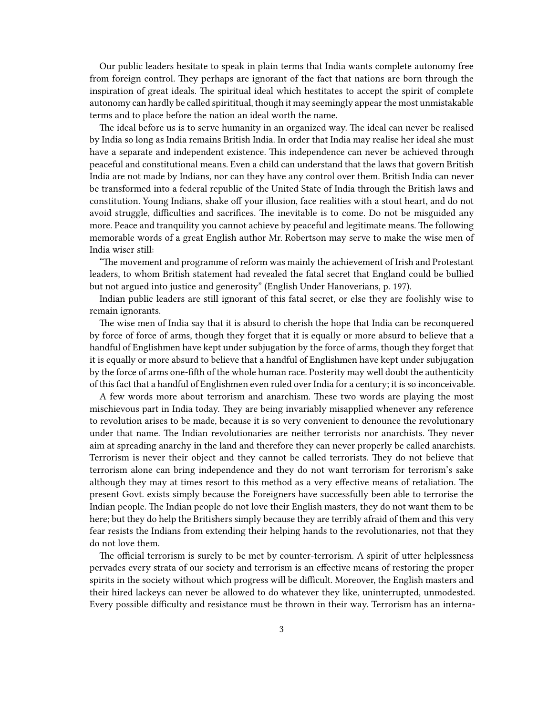Our public leaders hesitate to speak in plain terms that India wants complete autonomy free from foreign control. They perhaps are ignorant of the fact that nations are born through the inspiration of great ideals. The spiritual ideal which hestitates to accept the spirit of complete autonomy can hardly be called spirititual, though it may seemingly appear the most unmistakable terms and to place before the nation an ideal worth the name.

The ideal before us is to serve humanity in an organized way. The ideal can never be realised by India so long as India remains British India. In order that India may realise her ideal she must have a separate and independent existence. This independence can never be achieved through peaceful and constitutional means. Even a child can understand that the laws that govern British India are not made by Indians, nor can they have any control over them. British India can never be transformed into a federal republic of the United State of India through the British laws and constitution. Young Indians, shake off your illusion, face realities with a stout heart, and do not avoid struggle, difficulties and sacrifices. The inevitable is to come. Do not be misguided any more. Peace and tranquility you cannot achieve by peaceful and legitimate means. The following memorable words of a great English author Mr. Robertson may serve to make the wise men of India wiser still:

"The movement and programme of reform was mainly the achievement of Irish and Protestant leaders, to whom British statement had revealed the fatal secret that England could be bullied but not argued into justice and generosity" (English Under Hanoverians, p. 197).

Indian public leaders are still ignorant of this fatal secret, or else they are foolishly wise to remain ignorants.

The wise men of India say that it is absurd to cherish the hope that India can be reconquered by force of force of arms, though they forget that it is equally or more absurd to believe that a handful of Englishmen have kept under subjugation by the force of arms, though they forget that it is equally or more absurd to believe that a handful of Englishmen have kept under subjugation by the force of arms one-fifth of the whole human race. Posterity may well doubt the authenticity of this fact that a handful of Englishmen even ruled over India for a century; it is so inconceivable.

A few words more about terrorism and anarchism. These two words are playing the most mischievous part in India today. They are being invariably misapplied whenever any reference to revolution arises to be made, because it is so very convenient to denounce the revolutionary under that name. The Indian revolutionaries are neither terrorists nor anarchists. They never aim at spreading anarchy in the land and therefore they can never properly be called anarchists. Terrorism is never their object and they cannot be called terrorists. They do not believe that terrorism alone can bring independence and they do not want terrorism for terrorism's sake although they may at times resort to this method as a very effective means of retaliation. The present Govt. exists simply because the Foreigners have successfully been able to terrorise the Indian people. The Indian people do not love their English masters, they do not want them to be here; but they do help the Britishers simply because they are terribly afraid of them and this very fear resists the Indians from extending their helping hands to the revolutionaries, not that they do not love them.

The official terrorism is surely to be met by counter-terrorism. A spirit of utter helplessness pervades every strata of our society and terrorism is an effective means of restoring the proper spirits in the society without which progress will be difficult. Moreover, the English masters and their hired lackeys can never be allowed to do whatever they like, uninterrupted, unmodested. Every possible difficulty and resistance must be thrown in their way. Terrorism has an interna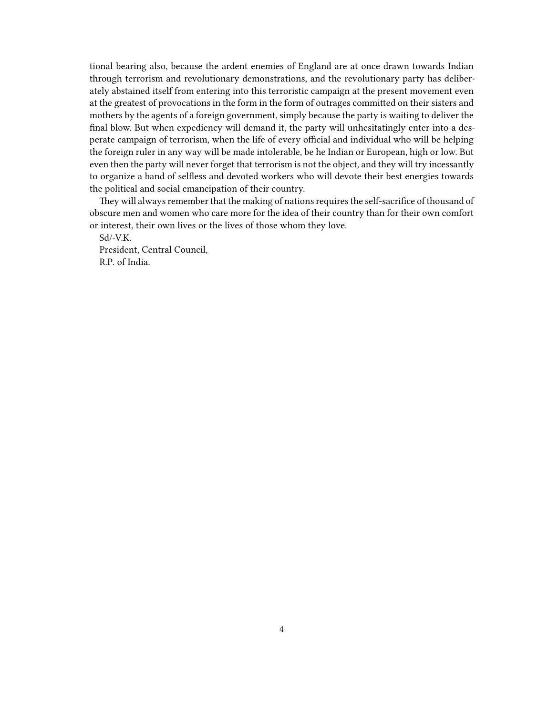tional bearing also, because the ardent enemies of England are at once drawn towards Indian through terrorism and revolutionary demonstrations, and the revolutionary party has deliberately abstained itself from entering into this terroristic campaign at the present movement even at the greatest of provocations in the form in the form of outrages committed on their sisters and mothers by the agents of a foreign government, simply because the party is waiting to deliver the final blow. But when expediency will demand it, the party will unhesitatingly enter into a desperate campaign of terrorism, when the life of every official and individual who will be helping the foreign ruler in any way will be made intolerable, be he Indian or European, high or low. But even then the party will never forget that terrorism is not the object, and they will try incessantly to organize a band of selfless and devoted workers who will devote their best energies towards the political and social emancipation of their country.

They will always remember that the making of nations requires the self-sacrifice of thousand of obscure men and women who care more for the idea of their country than for their own comfort or interest, their own lives or the lives of those whom they love.

Sd/-V.K.

President, Central Council, R.P. of India.